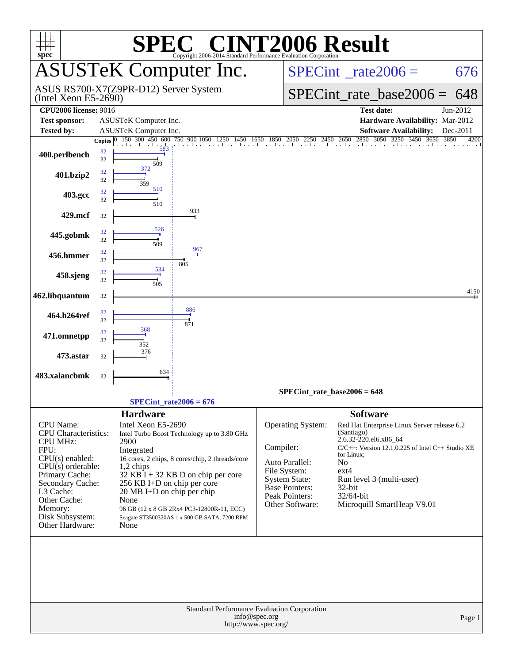| $spec^*$                                    |                          | SPE                                   | <b>C® CINT2006 Result</b><br>Copyright 2006-2014 Standard Performance Evaluation Corporation |               |                                         |                                                                                    |              |  |  |  |
|---------------------------------------------|--------------------------|---------------------------------------|----------------------------------------------------------------------------------------------|---------------|-----------------------------------------|------------------------------------------------------------------------------------|--------------|--|--|--|
|                                             |                          |                                       | <b>ASUSTeK Computer Inc.</b>                                                                 |               | $SPECint^{\circ}$ _rate2006 =<br>676    |                                                                                    |              |  |  |  |
| $($ Intel Xeon E5-2690 $)$                  |                          | ASUS RS700-X7(Z9PR-D12) Server System |                                                                                              |               |                                         | $SPECint_rate\_base2006 =$                                                         | 648          |  |  |  |
| <b>CPU2006</b> license: 9016                |                          |                                       |                                                                                              |               |                                         | <b>Test date:</b>                                                                  | Jun-2012     |  |  |  |
| <b>Test sponsor:</b>                        |                          | ASUSTeK Computer Inc.                 |                                                                                              |               |                                         | Hardware Availability: Mar-2012                                                    |              |  |  |  |
| <b>Tested by:</b>                           |                          | <b>ASUSTeK Computer Inc.</b>          |                                                                                              |               |                                         | <b>Software Availability:</b>                                                      | Dec-2011     |  |  |  |
| 400.perlbench                               | Copies $ 0 $<br>32<br>32 | 150 300 450 600                       | 750 900 1050                                                                                 | 1650<br>1850  | 2050<br>2250                            | 2850<br>3050 3250 3450 3650<br>2450 2650                                           | 3850<br>4200 |  |  |  |
| 401.bzip2                                   | 32<br>32                 | 509<br>372<br>359                     |                                                                                              |               |                                         |                                                                                    |              |  |  |  |
| 403.gcc                                     | 32<br>32                 | 510<br>510                            |                                                                                              |               |                                         |                                                                                    |              |  |  |  |
| 429.mcf                                     | 32                       |                                       | 933                                                                                          |               |                                         |                                                                                    |              |  |  |  |
| 445.gobmk                                   | 32<br>32                 | 526<br>509                            |                                                                                              |               |                                         |                                                                                    |              |  |  |  |
| 456.hmmer                                   | 32<br>32                 |                                       | 967<br>805                                                                                   |               |                                         |                                                                                    |              |  |  |  |
| 458.sjeng                                   | 32<br>32                 | 534<br>505                            |                                                                                              |               |                                         |                                                                                    |              |  |  |  |
| 462.libquantum                              | 32                       |                                       |                                                                                              |               |                                         |                                                                                    | 4150         |  |  |  |
| 464.h264ref                                 | 32<br>32                 |                                       | 886<br>871                                                                                   |               |                                         |                                                                                    |              |  |  |  |
| 471.omnetpp                                 | 32<br>32                 | 368<br>352                            |                                                                                              |               |                                         |                                                                                    |              |  |  |  |
| 473.astar                                   | 32                       | 376                                   |                                                                                              |               |                                         |                                                                                    |              |  |  |  |
| 483.xalancbmk                               | 32                       | 634                                   |                                                                                              |               |                                         |                                                                                    |              |  |  |  |
|                                             |                          |                                       | $SPECint_rate2006 = 676$                                                                     |               |                                         | $SPECint_rate_base2006 = 648$                                                      |              |  |  |  |
|                                             |                          | <b>Hardware</b>                       |                                                                                              |               |                                         | <b>Software</b>                                                                    |              |  |  |  |
| CPU Name:<br>CPU Characteristics:           |                          | Intel Xeon E5-2690                    | Intel Turbo Boost Technology up to 3.80 GHz                                                  |               | Operating System:                       | Red Hat Enterprise Linux Server release 6.2<br>(Santiago)<br>2.6.32-220.el6.x86_64 |              |  |  |  |
| <b>CPU MHz:</b><br>FPU:                     |                          | 2900<br>Integrated                    |                                                                                              | Compiler:     |                                         | $C/C++$ : Version 12.1.0.225 of Intel $C++$ Studio XE                              |              |  |  |  |
| $CPU(s)$ enabled:                           |                          |                                       | 16 cores, 2 chips, 8 cores/chip, 2 threads/core                                              |               | Auto Parallel:                          | for Linux;<br>No                                                                   |              |  |  |  |
| $CPU(s)$ orderable:                         |                          | $1,2$ chips                           |                                                                                              |               | File System:                            | $ext{4}$                                                                           |              |  |  |  |
| Primary Cache:<br>Secondary Cache:          |                          | 256 KB I+D on chip per core           | $32$ KB I + 32 KB D on chip per core                                                         |               | <b>System State:</b>                    | Run level 3 (multi-user)                                                           |              |  |  |  |
| L3 Cache:                                   |                          | $20 \text{ MB I+D}$ on chip per chip  |                                                                                              |               | Base Pointers:<br><b>Peak Pointers:</b> | 32-bit<br>32/64-bit                                                                |              |  |  |  |
| Other Cache:<br>Memory:                     |                          | None                                  | 96 GB (12 x 8 GB 2Rx4 PC3-12800R-11, ECC)                                                    |               | Other Software:                         | Microquill SmartHeap V9.01                                                         |              |  |  |  |
| Disk Subsystem:<br>Other Hardware:          |                          | None                                  | Seagate ST3500320AS 1 x 500 GB SATA, 7200 RPM                                                |               |                                         |                                                                                    |              |  |  |  |
|                                             |                          |                                       |                                                                                              |               |                                         |                                                                                    |              |  |  |  |
|                                             |                          |                                       |                                                                                              |               |                                         |                                                                                    |              |  |  |  |
| Standard Performance Evaluation Corporation |                          |                                       |                                                                                              |               |                                         |                                                                                    |              |  |  |  |
|                                             |                          |                                       | http://www.spec.org/                                                                         | info@spec.org |                                         |                                                                                    | Page 1       |  |  |  |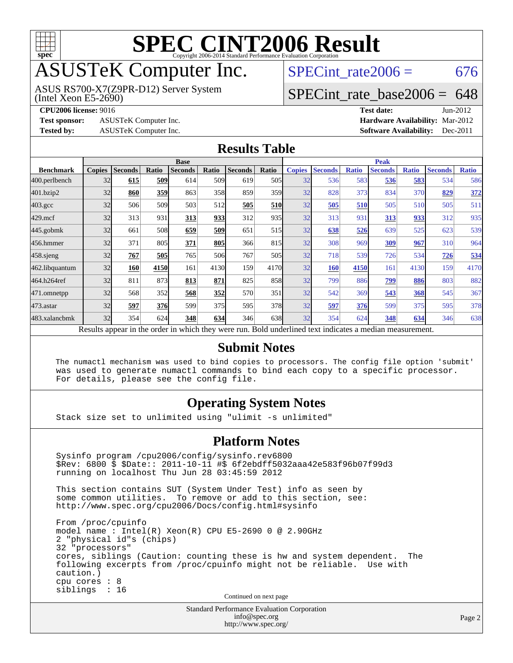

## ASUSTeK Computer Inc.

(Intel Xeon E5-2690) ASUS RS700-X7(Z9PR-D12) Server System SPECint rate $2006 = 676$ 

### [SPECint\\_rate\\_base2006 =](http://www.spec.org/auto/cpu2006/Docs/result-fields.html#SPECintratebase2006) 648

**[Test sponsor:](http://www.spec.org/auto/cpu2006/Docs/result-fields.html#Testsponsor)** ASUSTeK Computer Inc. **[Hardware Availability:](http://www.spec.org/auto/cpu2006/Docs/result-fields.html#HardwareAvailability)** Mar-2012

**[CPU2006 license:](http://www.spec.org/auto/cpu2006/Docs/result-fields.html#CPU2006license)** 9016 **[Test date:](http://www.spec.org/auto/cpu2006/Docs/result-fields.html#Testdate)** Jun-2012 **[Tested by:](http://www.spec.org/auto/cpu2006/Docs/result-fields.html#Testedby)** ASUSTeK Computer Inc. **[Software Availability:](http://www.spec.org/auto/cpu2006/Docs/result-fields.html#SoftwareAvailability)** Dec-2011

#### **[Results Table](http://www.spec.org/auto/cpu2006/Docs/result-fields.html#ResultsTable)**

|                                                                                                          | <b>Base</b>   |                |              |                |       |                |       | <b>Peak</b>   |                |              |                |              |                |              |
|----------------------------------------------------------------------------------------------------------|---------------|----------------|--------------|----------------|-------|----------------|-------|---------------|----------------|--------------|----------------|--------------|----------------|--------------|
| <b>Benchmark</b>                                                                                         | <b>Copies</b> | <b>Seconds</b> | <b>Ratio</b> | <b>Seconds</b> | Ratio | <b>Seconds</b> | Ratio | <b>Copies</b> | <b>Seconds</b> | <b>Ratio</b> | <b>Seconds</b> | <b>Ratio</b> | <b>Seconds</b> | <b>Ratio</b> |
| 400.perlbench                                                                                            | 32            | 615            | 509          | 614            | 509I  | 619            | 505   | 32            | 536            | 583          | 536            | 583          | 534            | 586          |
| 401.bzip2                                                                                                | 32            | 860            | 359          | 863            | 358   | 859            | 359   | 32            | 828            | 373          | 834            | 370          | 829            | 372          |
| $403.\text{gcc}$                                                                                         | 32            | 506            | 509          | 503            | 512   | 505            | 510   | 32            | 505            | 510          | 505            | 510          | 505            | 511          |
| $429$ .mcf                                                                                               | 32            | 313            | 931          | 313            | 933   | 312            | 935   | 32            | 313            | 931          | 313            | 933          | 312            | 935          |
| $445$ .gobmk                                                                                             | 32            | 661            | 508          | 659            | 509   | 651            | 515   | 32            | 638            | 526          | 639            | 525          | 623            | 539          |
| 456.hmmer                                                                                                | 32            | 371            | 805          | 371            | 805   | 366            | 815   | 32            | 308            | 969          | 309            | 967          | 310            | 964          |
| $458$ .sjeng                                                                                             | 32            | 767            | 505          | 765            | 506   | 767            | 505   | 32            | 718            | 539          | 726            | 534          | 726            | 534          |
| 462.libquantum                                                                                           | 32            | 160            | 4150         | 161            | 4130  | 159            | 4170  | 32            | <b>160</b>     | 4150         | 161            | 4130         | 159            | 4170         |
| 464.h264ref                                                                                              | 32            | 811            | 873          | 813            | 871   | 825            | 858   | 32            | 799            | 886          | 799            | 886          | 803            | 882          |
| 471.omnetpp                                                                                              | 32            | 568            | 352          | 568            | 352   | 570            | 351   | 32            | 542            | 369          | 543            | 368          | 545            | 367          |
| 473.astar                                                                                                | 32            | 597            | <b>376</b>   | 599            | 375   | 595            | 378   | 32            | 597            | 376          | 599            | 375          | 595            | 378          |
| 483.xalancbmk                                                                                            | 32            | 354            | 624          | 348            | 634   | 346            | 638   | 32            | 354            | 624          | 348            | 634          | 346            | 638          |
| Results appear in the order in which they were run. Bold underlined text indicates a median measurement. |               |                |              |                |       |                |       |               |                |              |                |              |                |              |

#### **[Submit Notes](http://www.spec.org/auto/cpu2006/Docs/result-fields.html#SubmitNotes)**

 The numactl mechanism was used to bind copies to processors. The config file option 'submit' was used to generate numactl commands to bind each copy to a specific processor. For details, please see the config file.

#### **[Operating System Notes](http://www.spec.org/auto/cpu2006/Docs/result-fields.html#OperatingSystemNotes)**

Stack size set to unlimited using "ulimit -s unlimited"

#### **[Platform Notes](http://www.spec.org/auto/cpu2006/Docs/result-fields.html#PlatformNotes)**

 Sysinfo program /cpu2006/config/sysinfo.rev6800 \$Rev: 6800 \$ \$Date:: 2011-10-11 #\$ 6f2ebdff5032aaa42e583f96b07f99d3 running on localhost Thu Jun 28 03:45:59 2012 This section contains SUT (System Under Test) info as seen by

some common utilities. To remove or add to this section, see: <http://www.spec.org/cpu2006/Docs/config.html#sysinfo>

 From /proc/cpuinfo model name : Intel(R) Xeon(R) CPU E5-2690 0 @ 2.90GHz 2 "physical id"s (chips) 32 "processors" cores, siblings (Caution: counting these is hw and system dependent. The following excerpts from /proc/cpuinfo might not be reliable. Use with caution.) cpu cores : 8 siblings : 16

Continued on next page

Standard Performance Evaluation Corporation [info@spec.org](mailto:info@spec.org) <http://www.spec.org/>

Page 2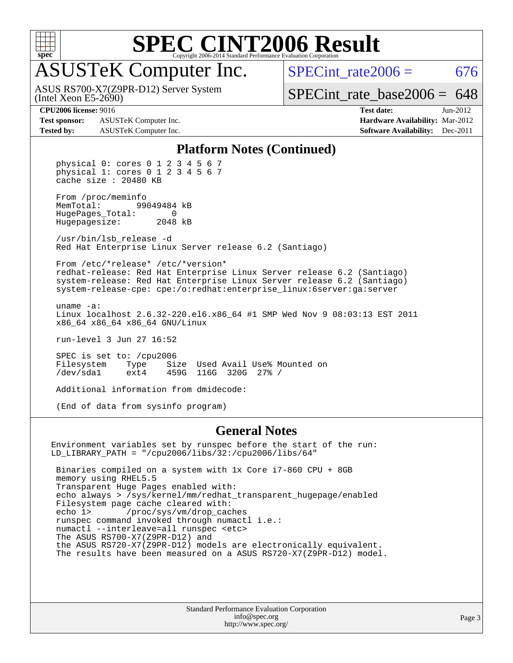

## ASUSTeK Computer Inc.

(Intel Xeon E5-2690) ASUS RS700-X7(Z9PR-D12) Server System SPECint rate $2006 = 676$ 

[SPECint\\_rate\\_base2006 =](http://www.spec.org/auto/cpu2006/Docs/result-fields.html#SPECintratebase2006) 648

**[Test sponsor:](http://www.spec.org/auto/cpu2006/Docs/result-fields.html#Testsponsor)** ASUSTeK Computer Inc. **[Hardware Availability:](http://www.spec.org/auto/cpu2006/Docs/result-fields.html#HardwareAvailability)** Mar-2012 **[Tested by:](http://www.spec.org/auto/cpu2006/Docs/result-fields.html#Testedby)** ASUSTeK Computer Inc. **[Software Availability:](http://www.spec.org/auto/cpu2006/Docs/result-fields.html#SoftwareAvailability)** Dec-2011

**[CPU2006 license:](http://www.spec.org/auto/cpu2006/Docs/result-fields.html#CPU2006license)** 9016 **[Test date:](http://www.spec.org/auto/cpu2006/Docs/result-fields.html#Testdate)** Jun-2012

#### **[Platform Notes \(Continued\)](http://www.spec.org/auto/cpu2006/Docs/result-fields.html#PlatformNotes)**

 physical 0: cores 0 1 2 3 4 5 6 7 physical 1: cores 0 1 2 3 4 5 6 7 cache size : 20480 KB

From /proc/meminfo<br>MemTotal: 99 99049484 kB HugePages\_Total: 0<br>Hugepagesize: 2048 kB Hugepagesize:

 /usr/bin/lsb\_release -d Red Hat Enterprise Linux Server release 6.2 (Santiago)

 From /etc/\*release\* /etc/\*version\* redhat-release: Red Hat Enterprise Linux Server release 6.2 (Santiago) system-release: Red Hat Enterprise Linux Server release 6.2 (Santiago) system-release-cpe: cpe:/o:redhat:enterprise\_linux:6server:ga:server

 uname -a: Linux localhost 2.6.32-220.el6.x86\_64 #1 SMP Wed Nov 9 08:03:13 EST 2011 x86\_64 x86\_64 x86\_64 GNU/Linux

run-level 3 Jun 27 16:52

 SPEC is set to: /cpu2006 Filesystem Type Size Used-Avail-Use%-Mounted-on-<br>  $\sqrt{2}$  /dev/sdal ext4 459G 116G 320G 27%-/ /dev/sda1 ext4 459G 116G 320G 27% /

Additional information from dmidecode:

(End of data from sysinfo program)

#### **[General Notes](http://www.spec.org/auto/cpu2006/Docs/result-fields.html#GeneralNotes)**

Environment variables set by runspec before the start of the run:  $LD_LIBRARY_PATH$  = "/cpu2006/libs/32:/cpu2006/libs/64"

 Binaries compiled on a system with 1x Core i7-860 CPU + 8GB memory using RHEL5.5 Transparent Huge Pages enabled with: echo always > /sys/kernel/mm/redhat\_transparent\_hugepage/enabled Filesystem page cache cleared with: echo 1> /proc/sys/vm/drop\_caches runspec command invoked through numactl i.e.: numactl --interleave=all runspec <etc> The ASUS RS700-X7(Z9PR-D12) and the ASUS RS720-X7(Z9PR-D12) models are electronically equivalent. The results have been measured on a ASUS RS720-X7(Z9PR-D12) model.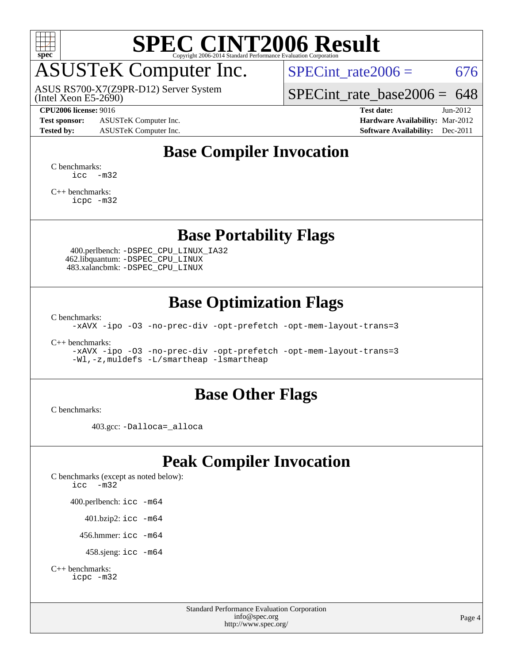

## ASUSTeK Computer Inc.

(Intel Xeon E5-2690) ASUS RS700-X7(Z9PR-D12) Server System SPECint rate $2006 = 676$ 

[SPECint\\_rate\\_base2006 =](http://www.spec.org/auto/cpu2006/Docs/result-fields.html#SPECintratebase2006) 648

**[Test sponsor:](http://www.spec.org/auto/cpu2006/Docs/result-fields.html#Testsponsor)** ASUSTeK Computer Inc. **[Hardware Availability:](http://www.spec.org/auto/cpu2006/Docs/result-fields.html#HardwareAvailability)** Mar-2012

**[CPU2006 license:](http://www.spec.org/auto/cpu2006/Docs/result-fields.html#CPU2006license)** 9016 **[Test date:](http://www.spec.org/auto/cpu2006/Docs/result-fields.html#Testdate)** Jun-2012 **[Tested by:](http://www.spec.org/auto/cpu2006/Docs/result-fields.html#Testedby)** ASUSTeK Computer Inc. **[Software Availability:](http://www.spec.org/auto/cpu2006/Docs/result-fields.html#SoftwareAvailability)** Dec-2011

### **[Base Compiler Invocation](http://www.spec.org/auto/cpu2006/Docs/result-fields.html#BaseCompilerInvocation)**

[C benchmarks](http://www.spec.org/auto/cpu2006/Docs/result-fields.html#Cbenchmarks): [icc -m32](http://www.spec.org/cpu2006/results/res2012q3/cpu2006-20120824-24328.flags.html#user_CCbase_intel_icc_5ff4a39e364c98233615fdd38438c6f2)

[C++ benchmarks:](http://www.spec.org/auto/cpu2006/Docs/result-fields.html#CXXbenchmarks) [icpc -m32](http://www.spec.org/cpu2006/results/res2012q3/cpu2006-20120824-24328.flags.html#user_CXXbase_intel_icpc_4e5a5ef1a53fd332b3c49e69c3330699)

#### **[Base Portability Flags](http://www.spec.org/auto/cpu2006/Docs/result-fields.html#BasePortabilityFlags)**

 400.perlbench: [-DSPEC\\_CPU\\_LINUX\\_IA32](http://www.spec.org/cpu2006/results/res2012q3/cpu2006-20120824-24328.flags.html#b400.perlbench_baseCPORTABILITY_DSPEC_CPU_LINUX_IA32) 462.libquantum: [-DSPEC\\_CPU\\_LINUX](http://www.spec.org/cpu2006/results/res2012q3/cpu2006-20120824-24328.flags.html#b462.libquantum_baseCPORTABILITY_DSPEC_CPU_LINUX) 483.xalancbmk: [-DSPEC\\_CPU\\_LINUX](http://www.spec.org/cpu2006/results/res2012q3/cpu2006-20120824-24328.flags.html#b483.xalancbmk_baseCXXPORTABILITY_DSPEC_CPU_LINUX)

### **[Base Optimization Flags](http://www.spec.org/auto/cpu2006/Docs/result-fields.html#BaseOptimizationFlags)**

[C benchmarks](http://www.spec.org/auto/cpu2006/Docs/result-fields.html#Cbenchmarks):

[-xAVX](http://www.spec.org/cpu2006/results/res2012q3/cpu2006-20120824-24328.flags.html#user_CCbase_f-xAVX) [-ipo](http://www.spec.org/cpu2006/results/res2012q3/cpu2006-20120824-24328.flags.html#user_CCbase_f-ipo) [-O3](http://www.spec.org/cpu2006/results/res2012q3/cpu2006-20120824-24328.flags.html#user_CCbase_f-O3) [-no-prec-div](http://www.spec.org/cpu2006/results/res2012q3/cpu2006-20120824-24328.flags.html#user_CCbase_f-no-prec-div) [-opt-prefetch](http://www.spec.org/cpu2006/results/res2012q3/cpu2006-20120824-24328.flags.html#user_CCbase_f-opt-prefetch) [-opt-mem-layout-trans=3](http://www.spec.org/cpu2006/results/res2012q3/cpu2006-20120824-24328.flags.html#user_CCbase_f-opt-mem-layout-trans_a7b82ad4bd7abf52556d4961a2ae94d5)

[C++ benchmarks:](http://www.spec.org/auto/cpu2006/Docs/result-fields.html#CXXbenchmarks)

[-xAVX](http://www.spec.org/cpu2006/results/res2012q3/cpu2006-20120824-24328.flags.html#user_CXXbase_f-xAVX) [-ipo](http://www.spec.org/cpu2006/results/res2012q3/cpu2006-20120824-24328.flags.html#user_CXXbase_f-ipo) [-O3](http://www.spec.org/cpu2006/results/res2012q3/cpu2006-20120824-24328.flags.html#user_CXXbase_f-O3) [-no-prec-div](http://www.spec.org/cpu2006/results/res2012q3/cpu2006-20120824-24328.flags.html#user_CXXbase_f-no-prec-div) [-opt-prefetch](http://www.spec.org/cpu2006/results/res2012q3/cpu2006-20120824-24328.flags.html#user_CXXbase_f-opt-prefetch) [-opt-mem-layout-trans=3](http://www.spec.org/cpu2006/results/res2012q3/cpu2006-20120824-24328.flags.html#user_CXXbase_f-opt-mem-layout-trans_a7b82ad4bd7abf52556d4961a2ae94d5) [-Wl,-z,muldefs](http://www.spec.org/cpu2006/results/res2012q3/cpu2006-20120824-24328.flags.html#user_CXXbase_link_force_multiple1_74079c344b956b9658436fd1b6dd3a8a) [-L/smartheap -lsmartheap](http://www.spec.org/cpu2006/results/res2012q3/cpu2006-20120824-24328.flags.html#user_CXXbase_SmartHeap_7c9e394a5779e1a7fec7c221e123830c)

#### **[Base Other Flags](http://www.spec.org/auto/cpu2006/Docs/result-fields.html#BaseOtherFlags)**

[C benchmarks](http://www.spec.org/auto/cpu2006/Docs/result-fields.html#Cbenchmarks):

403.gcc: [-Dalloca=\\_alloca](http://www.spec.org/cpu2006/results/res2012q3/cpu2006-20120824-24328.flags.html#b403.gcc_baseEXTRA_CFLAGS_Dalloca_be3056838c12de2578596ca5467af7f3)

### **[Peak Compiler Invocation](http://www.spec.org/auto/cpu2006/Docs/result-fields.html#PeakCompilerInvocation)**

[C benchmarks \(except as noted below\)](http://www.spec.org/auto/cpu2006/Docs/result-fields.html#Cbenchmarksexceptasnotedbelow): [icc -m32](http://www.spec.org/cpu2006/results/res2012q3/cpu2006-20120824-24328.flags.html#user_CCpeak_intel_icc_5ff4a39e364c98233615fdd38438c6f2) 400.perlbench: [icc -m64](http://www.spec.org/cpu2006/results/res2012q3/cpu2006-20120824-24328.flags.html#user_peakCCLD400_perlbench_intel_icc_64bit_bda6cc9af1fdbb0edc3795bac97ada53) 401.bzip2: [icc -m64](http://www.spec.org/cpu2006/results/res2012q3/cpu2006-20120824-24328.flags.html#user_peakCCLD401_bzip2_intel_icc_64bit_bda6cc9af1fdbb0edc3795bac97ada53)

456.hmmer: [icc -m64](http://www.spec.org/cpu2006/results/res2012q3/cpu2006-20120824-24328.flags.html#user_peakCCLD456_hmmer_intel_icc_64bit_bda6cc9af1fdbb0edc3795bac97ada53)

458.sjeng: [icc -m64](http://www.spec.org/cpu2006/results/res2012q3/cpu2006-20120824-24328.flags.html#user_peakCCLD458_sjeng_intel_icc_64bit_bda6cc9af1fdbb0edc3795bac97ada53)

```
C++ benchmarks: 
    icpc -m32
```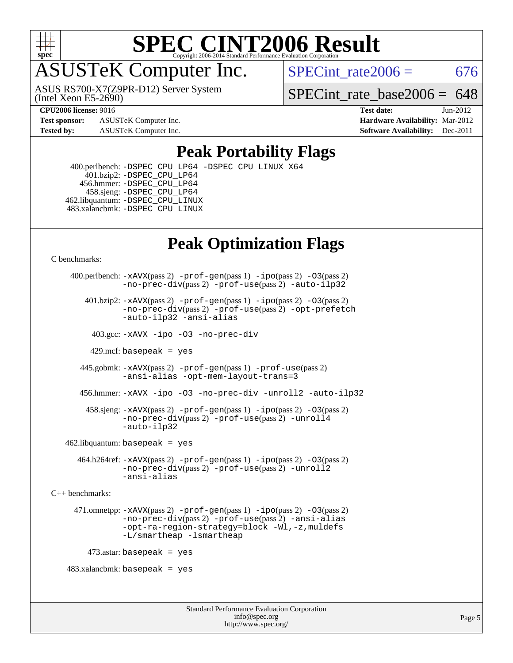

## ASUSTeK Computer Inc.

(Intel Xeon E5-2690) ASUS RS700-X7(Z9PR-D12) Server System SPECint rate $2006 = 676$ 

SPECint rate base2006 =  $648$ 

**[Test sponsor:](http://www.spec.org/auto/cpu2006/Docs/result-fields.html#Testsponsor)** ASUSTeK Computer Inc. **[Hardware Availability:](http://www.spec.org/auto/cpu2006/Docs/result-fields.html#HardwareAvailability)** Mar-2012

**[CPU2006 license:](http://www.spec.org/auto/cpu2006/Docs/result-fields.html#CPU2006license)** 9016 **[Test date:](http://www.spec.org/auto/cpu2006/Docs/result-fields.html#Testdate)** Jun-2012 **[Tested by:](http://www.spec.org/auto/cpu2006/Docs/result-fields.html#Testedby)** ASUSTeK Computer Inc. **[Software Availability:](http://www.spec.org/auto/cpu2006/Docs/result-fields.html#SoftwareAvailability)** Dec-2011

### **[Peak Portability Flags](http://www.spec.org/auto/cpu2006/Docs/result-fields.html#PeakPortabilityFlags)**

 400.perlbench: [-DSPEC\\_CPU\\_LP64](http://www.spec.org/cpu2006/results/res2012q3/cpu2006-20120824-24328.flags.html#b400.perlbench_peakCPORTABILITY_DSPEC_CPU_LP64) [-DSPEC\\_CPU\\_LINUX\\_X64](http://www.spec.org/cpu2006/results/res2012q3/cpu2006-20120824-24328.flags.html#b400.perlbench_peakCPORTABILITY_DSPEC_CPU_LINUX_X64) 401.bzip2: [-DSPEC\\_CPU\\_LP64](http://www.spec.org/cpu2006/results/res2012q3/cpu2006-20120824-24328.flags.html#suite_peakCPORTABILITY401_bzip2_DSPEC_CPU_LP64) 456.hmmer: [-DSPEC\\_CPU\\_LP64](http://www.spec.org/cpu2006/results/res2012q3/cpu2006-20120824-24328.flags.html#suite_peakCPORTABILITY456_hmmer_DSPEC_CPU_LP64) 458.sjeng: [-DSPEC\\_CPU\\_LP64](http://www.spec.org/cpu2006/results/res2012q3/cpu2006-20120824-24328.flags.html#suite_peakCPORTABILITY458_sjeng_DSPEC_CPU_LP64) 462.libquantum: [-DSPEC\\_CPU\\_LINUX](http://www.spec.org/cpu2006/results/res2012q3/cpu2006-20120824-24328.flags.html#b462.libquantum_peakCPORTABILITY_DSPEC_CPU_LINUX) 483.xalancbmk: [-DSPEC\\_CPU\\_LINUX](http://www.spec.org/cpu2006/results/res2012q3/cpu2006-20120824-24328.flags.html#b483.xalancbmk_peakCXXPORTABILITY_DSPEC_CPU_LINUX)

## **[Peak Optimization Flags](http://www.spec.org/auto/cpu2006/Docs/result-fields.html#PeakOptimizationFlags)**

[C benchmarks](http://www.spec.org/auto/cpu2006/Docs/result-fields.html#Cbenchmarks):

```
 400.perlbench: -xAVX(pass 2) -prof-gen(pass 1) -ipo(pass 2) -O3(pass 2)
                -no-prec-div(pass 2) -prof-use(pass 2) -auto-ilp32
        401.bzip2: -xAVX(pass 2) -prof-gen(pass 1) -ipo(pass 2) -O3(pass 2)
                -no-prec-div(pass 2) -prof-use(pass 2) -opt-prefetch
                -auto-ilp32 -ansi-alias
          403.gcc: -xAVX -ipo -O3 -no-prec-div
         429.mcf: basepeak = yes
       445.gobmk: -xAVX(pass 2) -prof-gen(pass 1) -prof-use(pass 2)
                -ansi-alias -opt-mem-layout-trans=3
       456.hmmer: -xAVX -ipo -O3 -no-prec-div -unroll2 -auto-ilp32
         458.sjeng: -xAVX(pass 2) -prof-gen(pass 1) -ipo(pass 2) -O3(pass 2)
                -no-prec-div(pass 2) -prof-use(pass 2) -unroll4
                -auto-ilp32
   462.libquantum: basepeak = yes
       464.h264ref: -xAVX(pass 2) -prof-gen(pass 1) -ipo(pass 2) -O3(pass 2)
                -no-prec-div(pass 2) -prof-use(pass 2) -unroll2
                -ansi-alias
C++ benchmarks: 
      471.omnetpp: -xAVX(pass 2) -prof-gen(pass 1) -ipo(pass 2) -O3(pass 2)
                -no-prec-div(pass 2) -prof-use(pass 2) -ansi-alias
                -opt-ra-region-strategy=block -Wl,-z,muldefs
                -L/smartheap -lsmartheap
         473.astar: basepeak = yes
   483.xalanchmk: basepeak = yes
```